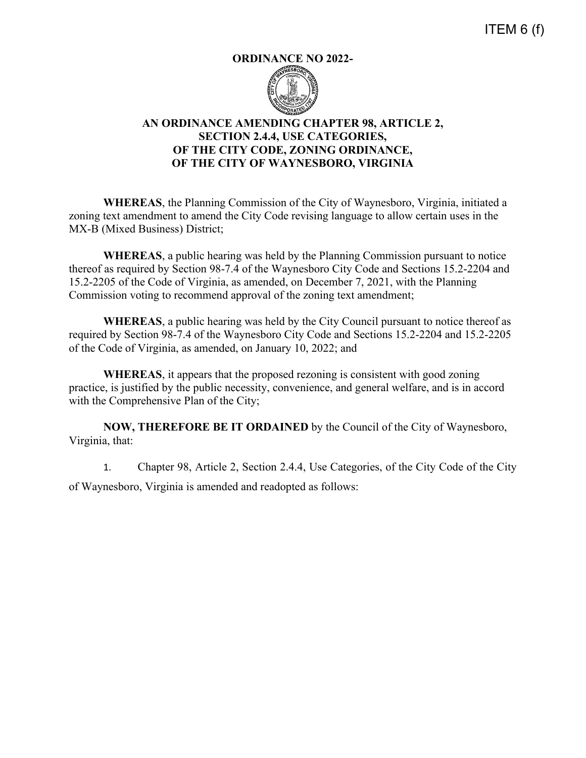ITEM 6 (f)

## **ORDINANCE NO 2022-**



## **AN ORDINANCE AMENDING CHAPTER 98, ARTICLE 2, SECTION 2.4.4, USE CATEGORIES, OF THE CITY CODE, ZONING ORDINANCE, OF THE CITY OF WAYNESBORO, VIRGINIA**

**WHEREAS**, the Planning Commission of the City of Waynesboro, Virginia, initiated a zoning text amendment to amend the City Code revising language to allow certain uses in the MX-B (Mixed Business) District;

**WHEREAS**, a public hearing was held by the Planning Commission pursuant to notice thereof as required by Section 98-7.4 of the Waynesboro City Code and Sections 15.2-2204 and 15.2-2205 of the Code of Virginia, as amended, on December 7, 2021, with the Planning Commission voting to recommend approval of the zoning text amendment;

**WHEREAS**, a public hearing was held by the City Council pursuant to notice thereof as required by Section 98-7.4 of the Waynesboro City Code and Sections 15.2-2204 and 15.2-2205 of the Code of Virginia, as amended, on January 10, 2022; and

**WHEREAS**, it appears that the proposed rezoning is consistent with good zoning practice, is justified by the public necessity, convenience, and general welfare, and is in accord with the Comprehensive Plan of the City;

**NOW, THEREFORE BE IT ORDAINED** by the Council of the City of Waynesboro, Virginia, that:

1. Chapter 98, Article 2, Section 2.4.4, Use Categories, of the City Code of the City of Waynesboro, Virginia is amended and readopted as follows: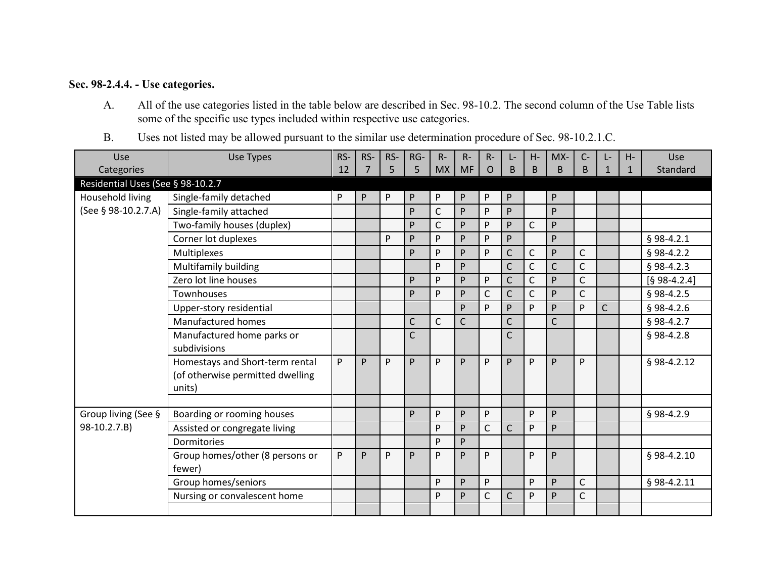## **Sec. 98-2.4.4. - Use categories.**

- A. All of the use categories listed in the table below are described in Sec. 98-10.2. The second column of the Use Table lists some of the specific use types included within respective use categories.
- B. Uses not listed may be allowed pursuant to the similar use determination procedure of Sec. 98-10.2.1.C.

| Use                               | <b>Use Types</b>                                                              | RS- | RS-            | RS- | RG-          | $R -$        | $R -$        | $R -$        | Ŀ-             | H-           | $MX-$        | $C -$        | Ŀ            | H-           | Use            |
|-----------------------------------|-------------------------------------------------------------------------------|-----|----------------|-----|--------------|--------------|--------------|--------------|----------------|--------------|--------------|--------------|--------------|--------------|----------------|
| Categories                        |                                                                               | 12  | $\overline{7}$ | 5   | 5            | <b>MX</b>    | <b>MF</b>    | O            | $\sf B$        | B            | <sub>B</sub> | B            | $\mathbf{1}$ | $\mathbf{1}$ | Standard       |
| Residential Uses (See § 98-10.2.7 |                                                                               |     |                |     |              |              |              |              |                |              |              |              |              |              |                |
| Household living                  | Single-family detached                                                        | P   | P              | P   | P            | P            | P            | P            | P              |              | P            |              |              |              |                |
| (See § 98-10.2.7.A)               | Single-family attached                                                        |     |                |     | P            | C            | P            | P            | P.             |              | P            |              |              |              |                |
|                                   | Two-family houses (duplex)                                                    |     |                |     | P            | C            | P            | P            | P.             | $\mathsf{C}$ | P            |              |              |              |                |
|                                   | Corner lot duplexes                                                           |     |                | P   | P            | P            | P            | P            | P              |              | P            |              |              |              | $§$ 98-4.2.1   |
|                                   | Multiplexes                                                                   |     |                |     | P            | P            | P            | P            | $\mathsf{C}$   | C            | P            | $\mathsf{C}$ |              |              | $§$ 98-4.2.2   |
|                                   | Multifamily building                                                          |     |                |     |              | P            | P            |              | $\mathsf{C}$   | $\mathsf{C}$ | $\mathsf{C}$ | $\mathsf{C}$ |              |              | $§$ 98-4.2.3   |
|                                   | Zero lot line houses                                                          |     |                |     | P            | P            | P            | P            | $\mathsf{C}$   | $\mathsf{C}$ | P            | $\mathsf{C}$ |              |              | $[§ 98-4.2.4]$ |
|                                   | Townhouses                                                                    |     |                |     | P            | P            | P            | C            | $\mathsf{C}$   | $\mathsf{C}$ | P            | $\mathsf{C}$ |              |              | $§$ 98-4.2.5   |
|                                   | Upper-story residential                                                       |     |                |     |              |              | P            | P            | P              | P            | P            | P            | C            |              | $§$ 98-4.2.6   |
|                                   | Manufactured homes                                                            |     |                |     | $\mathsf{C}$ | $\mathsf{C}$ | $\mathsf{C}$ |              | $\overline{C}$ |              | $\mathsf{C}$ |              |              |              | $§$ 98-4.2.7   |
|                                   | Manufactured home parks or<br>subdivisions                                    |     |                |     | $\mathsf{C}$ |              |              |              | $\mathsf{C}$   |              |              |              |              |              | $§$ 98-4.2.8   |
|                                   | Homestays and Short-term rental<br>(of otherwise permitted dwelling<br>units) | P   | P              | P   | P            | P            | P            | P            | P.             | P            | P            | P            |              |              | $§$ 98-4.2.12  |
|                                   |                                                                               |     |                |     |              |              |              |              |                |              |              |              |              |              |                |
| Group living (See §               | Boarding or rooming houses                                                    |     |                |     | P            | P            | P            | P            |                | P            | P            |              |              |              | $§$ 98-4.2.9   |
| 98-10.2.7.B)                      | Assisted or congregate living                                                 |     |                |     |              | P            | P            | $\mathsf{C}$ | $\mathsf{C}$   | P            | P            |              |              |              |                |
|                                   | Dormitories                                                                   |     |                |     |              | P            | P            |              |                |              |              |              |              |              |                |
|                                   | Group homes/other (8 persons or<br>fewer)                                     | P   | P              | P   | P            | P            | P            | P            |                | P            | P            |              |              |              | § 98-4.2.10    |
|                                   | Group homes/seniors                                                           |     |                |     |              | P            | P            | P            |                | P            | P            | C            |              |              | § 98-4.2.11    |
|                                   | Nursing or convalescent home                                                  |     |                |     |              | P            | P            | C            | $\mathsf{C}$   | P            | P            | $\mathsf{C}$ |              |              |                |
|                                   |                                                                               |     |                |     |              |              |              |              |                |              |              |              |              |              |                |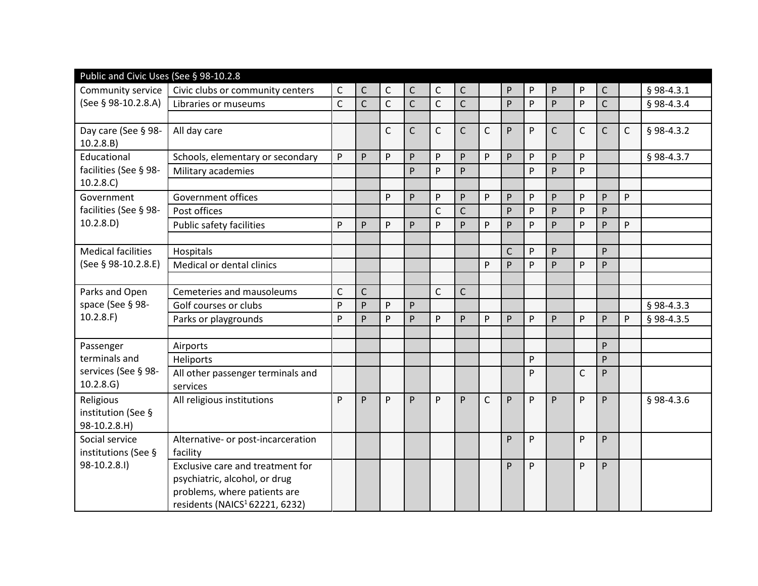| Public and Civic Uses (See § 98-10.2.8          |                                                                                                                                                 |              |              |              |                |              |              |              |              |   |              |              |                |   |              |
|-------------------------------------------------|-------------------------------------------------------------------------------------------------------------------------------------------------|--------------|--------------|--------------|----------------|--------------|--------------|--------------|--------------|---|--------------|--------------|----------------|---|--------------|
| Community service                               | Civic clubs or community centers                                                                                                                | C            | $\mathsf C$  | $\mathsf{C}$ | С              | $\mathsf C$  | $\mathsf{C}$ |              | P            | P | P            | P            | $\mathsf{C}$   |   | § 98-4.3.1   |
| (See § 98-10.2.8.A)                             | Libraries or museums                                                                                                                            | $\mathsf{C}$ | $\mathsf{C}$ | $\mathsf{C}$ | $\overline{C}$ | $\mathsf{C}$ | $\mathsf{C}$ |              | P            | P | P            | P            | $\overline{C}$ |   | § 98-4.3.4   |
|                                                 |                                                                                                                                                 |              |              |              |                |              |              |              |              |   |              |              |                |   |              |
| Day care (See § 98-<br>10.2.8.B)                | All day care                                                                                                                                    |              |              | C            | $\mathsf{C}$   | $\mathsf C$  | $\mathsf{C}$ | $\mathsf C$  | P            | P | $\mathsf{C}$ | $\mathsf{C}$ | $\mathsf{C}$   | C | $§$ 98-4.3.2 |
| Educational<br>facilities (See § 98-            | Schools, elementary or secondary                                                                                                                | P            | P            | P            | P              | P            | P            | P            | P            | P | P            | P            |                |   | §98-4.3.7    |
|                                                 | Military academies                                                                                                                              |              |              |              | P              | P            | P            |              |              | P | P            | P            |                |   |              |
| 10.2.8.C)                                       |                                                                                                                                                 |              |              |              |                |              |              |              |              |   |              |              |                |   |              |
| Government                                      | <b>Government offices</b>                                                                                                                       |              |              | P            | P              | P            | P            | P            | P            | P | P            | P            | P              | P |              |
| facilities (See § 98-                           | Post offices                                                                                                                                    |              |              |              |                | $\mathsf{C}$ | $\mathsf{C}$ |              | P            | p | P            | P            | P              |   |              |
| 10.2.8.D)                                       | Public safety facilities                                                                                                                        | P            | P            | P            | P              | <b>P</b>     | P            | P            | P            | P | P            | P            | P              | P |              |
|                                                 |                                                                                                                                                 |              |              |              |                |              |              |              |              |   |              |              |                |   |              |
| <b>Medical facilities</b>                       | Hospitals                                                                                                                                       |              |              |              |                |              |              |              | $\mathsf{C}$ | P | P            |              | P              |   |              |
| (See § 98-10.2.8.E)                             | Medical or dental clinics                                                                                                                       |              |              |              |                |              |              | P            | P            | P | P            | P            | P              |   |              |
|                                                 |                                                                                                                                                 |              |              |              |                |              |              |              |              |   |              |              |                |   |              |
| Parks and Open<br>space (See § 98-              | Cemeteries and mausoleums                                                                                                                       | $\mathsf{C}$ | $\mathsf{C}$ |              |                | $\mathsf{C}$ | $\mathsf{C}$ |              |              |   |              |              |                |   |              |
|                                                 | Golf courses or clubs                                                                                                                           | P            | P            | P            | P              |              |              |              |              |   |              |              |                |   | $§$ 98-4.3.3 |
| 10.2.8.F                                        | Parks or playgrounds                                                                                                                            | P            | P            | P            | P              | P            | P            | P            | P            | P | P            | P            | P              | P | § 98-4.3.5   |
|                                                 |                                                                                                                                                 |              |              |              |                |              |              |              |              |   |              |              |                |   |              |
| Passenger                                       | Airports                                                                                                                                        |              |              |              |                |              |              |              |              |   |              |              | P              |   |              |
| terminals and                                   | Heliports                                                                                                                                       |              |              |              |                |              |              |              |              | P |              |              | P              |   |              |
| services (See § 98-<br>10.2.8.6                 | All other passenger terminals and<br>services                                                                                                   |              |              |              |                |              |              |              |              | P |              | $\mathsf{C}$ | P              |   |              |
| Religious<br>institution (See §<br>98-10.2.8.H) | All religious institutions                                                                                                                      | P            | P            | P            | P              | P            | P            | $\mathsf{C}$ | P            | P | P            | P            | P              |   | § 98-4.3.6   |
| Social service<br>institutions (See §           | Alternative- or post-incarceration<br>facility                                                                                                  |              |              |              |                |              |              |              | P            | P |              | P            | P              |   |              |
| 98-10.2.8.I)                                    | Exclusive care and treatment for<br>psychiatric, alcohol, or drug<br>problems, where patients are<br>residents (NAICS <sup>1</sup> 62221, 6232) |              |              |              |                |              |              |              | P            | P |              | P            | P              |   |              |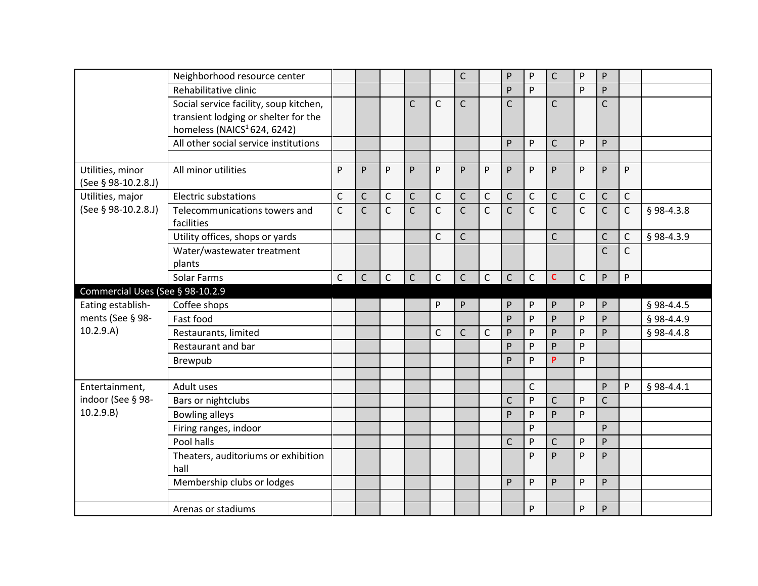|                                  | Neighborhood resource center                |                |              |              |                |              | $\mathsf{C}$ |              | P              | $\mathsf{P}$ | $\mathsf{C}$   | P            | P            |              |              |
|----------------------------------|---------------------------------------------|----------------|--------------|--------------|----------------|--------------|--------------|--------------|----------------|--------------|----------------|--------------|--------------|--------------|--------------|
|                                  | Rehabilitative clinic                       |                |              |              |                |              |              |              | P              | P            |                | P            | P            |              |              |
|                                  | Social service facility, soup kitchen,      |                |              |              | $\mathsf{C}$   | $\mathsf{C}$ | $\mathsf{C}$ |              | $\overline{C}$ |              | $\mathsf{C}$   |              | $\mathsf{C}$ |              |              |
|                                  | transient lodging or shelter for the        |                |              |              |                |              |              |              |                |              |                |              |              |              |              |
|                                  | homeless (NAICS <sup>1</sup> 624, 6242)     |                |              |              |                |              |              |              |                |              |                |              |              |              |              |
|                                  | All other social service institutions       |                |              |              |                |              |              |              | P              | P            | $\mathsf{C}$   | P            | P            |              |              |
| Utilities, minor                 | All minor utilities                         | P              | P            | P            | P              | P            | P            | P            | P              | P            | P              | P            | P            | P            |              |
| (See § 98-10.2.8.J)              |                                             |                |              |              |                |              |              |              |                |              |                |              |              |              |              |
| Utilities, major                 | <b>Electric substations</b>                 | C              | $\mathsf C$  | $\mathsf C$  | $\mathsf C$    | $\mathsf C$  | $\mathsf{C}$ | $\mathsf C$  | $\mathsf C$    | $\mathsf C$  | $\mathsf{C}$   | $\mathsf C$  | $\mathsf{C}$ | $\mathsf C$  |              |
| (See § 98-10.2.8.J)              | Telecommunications towers and<br>facilities | $\overline{C}$ | $\mathsf{C}$ | $\mathsf{C}$ | $\overline{C}$ | $\mathsf{C}$ | $\mathsf{C}$ | $\mathsf{C}$ | $\overline{C}$ | $\mathsf{C}$ | $\overline{C}$ | $\mathsf{C}$ | $\mathsf{C}$ | $\mathsf{C}$ | § 98-4.3.8   |
|                                  | Utility offices, shops or yards             |                |              |              |                | $\mathsf{C}$ | $\mathsf{C}$ |              |                |              | $\mathsf{C}$   |              | C            | C            | § 98-4.3.9   |
|                                  | Water/wastewater treatment                  |                |              |              |                |              |              |              |                |              |                |              | $\mathsf{C}$ | $\mathsf{C}$ |              |
|                                  | plants                                      |                |              |              |                |              |              |              |                |              |                |              |              |              |              |
|                                  | Solar Farms                                 | $\mathsf{C}$   | $\mathsf{C}$ | $\mathsf{C}$ | $\mathsf{C}$   | $\mathsf{C}$ | $\mathsf{C}$ | $\mathsf{C}$ | $\mathsf{C}$   | $\mathsf{C}$ | Ċ              | $\mathsf{C}$ | P            | P            |              |
| Commercial Uses (See § 98-10.2.9 |                                             |                |              |              |                |              |              |              |                |              |                |              |              |              |              |
| Eating establish-                | Coffee shops                                |                |              |              |                | P            | P            |              | P              | P            | P              | P            | P            |              | $§$ 98-4.4.5 |
| ments (See § 98-                 | Fast food                                   |                |              |              |                |              |              |              | P              | P            | P              | P            | P            |              | § 98-4.4.9   |
| 10.2.9.A)                        | Restaurants, limited                        |                |              |              |                | C            | $\mathsf C$  | $\mathsf C$  | P              | $\mathsf{P}$ | P              | P            | P            |              | $$98-4.4.8$  |
|                                  | Restaurant and bar                          |                |              |              |                |              |              |              | P              | P            | P              | P            |              |              |              |
|                                  | Brewpub                                     |                |              |              |                |              |              |              | P              | P            | P              | P            |              |              |              |
|                                  |                                             |                |              |              |                |              |              |              |                |              |                |              |              |              |              |
| Entertainment,                   | Adult uses                                  |                |              |              |                |              |              |              |                | $\mathsf C$  |                |              | P            | P            | $§$ 98-4.4.1 |
| indoor (See § 98-                | Bars or nightclubs                          |                |              |              |                |              |              |              | $\mathsf{C}$   | P            | $\mathsf{C}$   | P            | $\mathsf{C}$ |              |              |
| 10.2.9.B)                        | <b>Bowling alleys</b>                       |                |              |              |                |              |              |              | P              | P            | P              | P            |              |              |              |
|                                  | Firing ranges, indoor                       |                |              |              |                |              |              |              |                | P            |                |              | P            |              |              |
|                                  | Pool halls                                  |                |              |              |                |              |              |              | $\mathsf{C}$   | P            | $\mathsf{C}$   | P            | P            |              |              |
|                                  | Theaters, auditoriums or exhibition<br>hall |                |              |              |                |              |              |              |                | P            | P              | P            | P            |              |              |
|                                  | Membership clubs or lodges                  |                |              |              |                |              |              |              | P              | P            | P              | P            | P            |              |              |
|                                  |                                             |                |              |              |                |              |              |              |                |              |                |              |              |              |              |
|                                  | Arenas or stadiums                          |                |              |              |                |              |              |              |                | $\mathsf{P}$ |                | ${\sf P}$    | P            |              |              |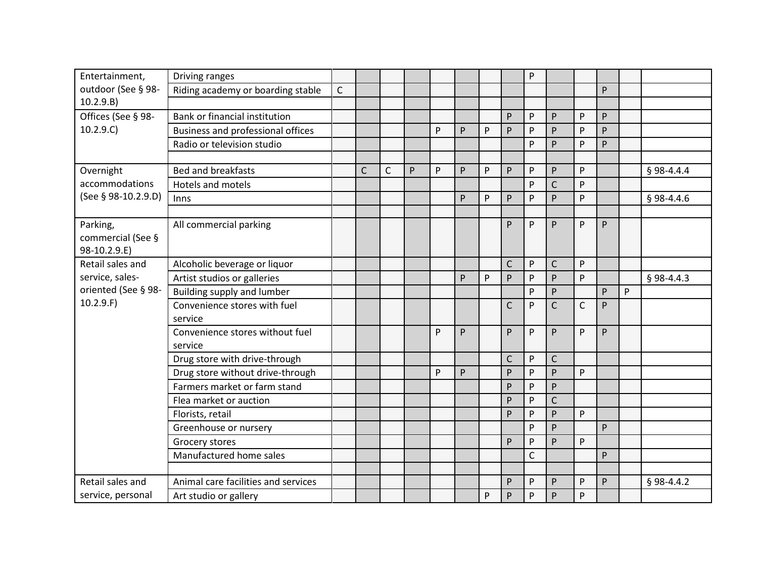| Entertainment,      | Driving ranges                      |   |              |              |   |   |   |   |              | P            |              |              |    |   |              |
|---------------------|-------------------------------------|---|--------------|--------------|---|---|---|---|--------------|--------------|--------------|--------------|----|---|--------------|
| outdoor (See § 98-  | Riding academy or boarding stable   | C |              |              |   |   |   |   |              |              |              |              | P  |   |              |
| 10.2.9.B)           |                                     |   |              |              |   |   |   |   |              |              |              |              |    |   |              |
| Offices (See § 98-  | Bank or financial institution       |   |              |              |   |   |   |   | P            | P            | P            | P            | P  |   |              |
| 10.2.9.C)           | Business and professional offices   |   |              |              |   | P | P | P | P            | P            | P            | P            | P  |   |              |
|                     | Radio or television studio          |   |              |              |   |   |   |   |              | P            | P            | P            | P  |   |              |
|                     |                                     |   |              |              |   |   |   |   |              |              |              |              |    |   |              |
| Overnight           | <b>Bed and breakfasts</b>           |   | $\mathsf{C}$ | $\mathsf{C}$ | P | P | P | P | P            | P            | P            | P            |    |   | $§$ 98-4.4.4 |
| accommodations      | <b>Hotels and motels</b>            |   |              |              |   |   |   |   |              | P            | $\mathsf{C}$ | P            |    |   |              |
| (See § 98-10.2.9.D) | Inns                                |   |              |              |   |   | P | P | P            | P            | P            | P            |    |   | $§$ 98-4.4.6 |
|                     |                                     |   |              |              |   |   |   |   |              |              |              |              |    |   |              |
| Parking,            | All commercial parking              |   |              |              |   |   |   |   | P            | P            | P            | P            | P  |   |              |
| commercial (See §   |                                     |   |              |              |   |   |   |   |              |              |              |              |    |   |              |
| 98-10.2.9.E)        |                                     |   |              |              |   |   |   |   |              |              |              |              |    |   |              |
| Retail sales and    | Alcoholic beverage or liquor        |   |              |              |   |   |   |   | $\mathsf{C}$ | P            | $\mathsf{C}$ | P            |    |   |              |
| service, sales-     | Artist studios or galleries         |   |              |              |   |   | P | P | P            | P            | P            | P            |    |   | $§$ 98-4.4.3 |
| oriented (See § 98- | Building supply and lumber          |   |              |              |   |   |   |   |              | P            | P            |              | P  | P |              |
| 10.2.9.F            | Convenience stores with fuel        |   |              |              |   |   |   |   | $\mathsf{C}$ | P            | $\mathsf{C}$ | $\mathsf{C}$ | P  |   |              |
|                     | service                             |   |              |              |   |   |   |   |              |              |              |              |    |   |              |
|                     | Convenience stores without fuel     |   |              |              |   | P | P |   | P.           | P            | P            | P            | P. |   |              |
|                     | service                             |   |              |              |   |   |   |   |              |              |              |              |    |   |              |
|                     | Drug store with drive-through       |   |              |              |   |   |   |   | $\mathsf C$  | P            | $\mathsf{C}$ |              |    |   |              |
|                     | Drug store without drive-through    |   |              |              |   | P | P |   | P            | P            | P            | P            |    |   |              |
|                     | Farmers market or farm stand        |   |              |              |   |   |   |   | P            | P            | P            |              |    |   |              |
|                     | Flea market or auction              |   |              |              |   |   |   |   | P            | P            | $\mathsf{C}$ |              |    |   |              |
|                     | Florists, retail                    |   |              |              |   |   |   |   | P            | P            | P            | P            |    |   |              |
|                     | Greenhouse or nursery               |   |              |              |   |   |   |   |              | P            | P            |              | P  |   |              |
|                     | Grocery stores                      |   |              |              |   |   |   |   | P            | P            | P            | P            |    |   |              |
|                     | Manufactured home sales             |   |              |              |   |   |   |   |              | $\mathsf{C}$ |              |              | P  |   |              |
|                     |                                     |   |              |              |   |   |   |   |              |              |              |              |    |   |              |
| Retail sales and    | Animal care facilities and services |   |              |              |   |   |   |   | P            | P            | P            | P            | P  |   | $§$ 98-4.4.2 |
| service, personal   | Art studio or gallery               |   |              |              |   |   |   | P | P            | $\mathsf{P}$ | P            | ${\sf P}$    |    |   |              |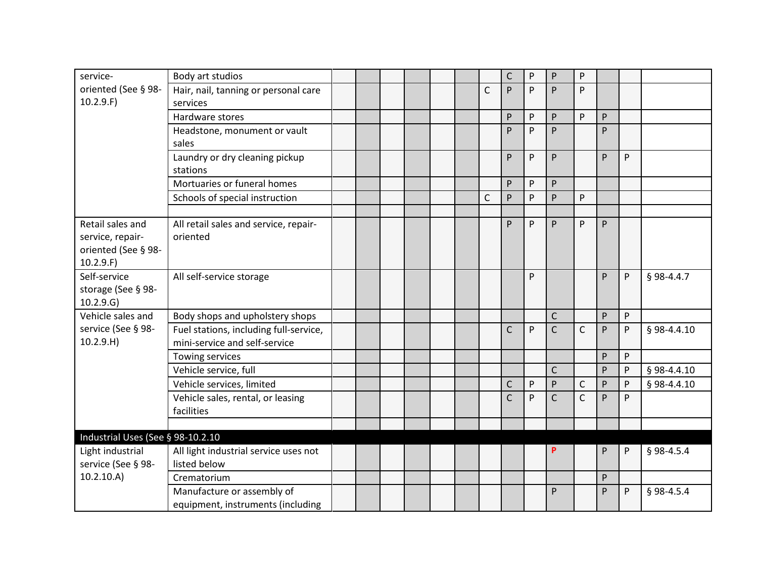| oriented (See § 98-<br>Hair, nail, tanning or personal care<br>$\mathsf{C}$<br>P.<br>P<br>P<br>P<br>10.2.9.F)<br>services<br>Hardware stores<br>P<br>P<br>P<br>P<br>P<br>P<br>P<br>P.<br>P<br>Headstone, monument or vault<br>sales<br>P<br>P<br>P<br><b>P</b><br>Laundry or dry cleaning pickup<br>P.<br>stations<br>Mortuaries or funeral homes<br>P<br>P<br>P<br>$\mathsf{C}$<br>P<br>P<br>P<br>Schools of special instruction<br>P<br>P<br>Retail sales and<br>All retail sales and service, repair-<br>P<br>P<br>P<br>P<br>service, repair-<br>oriented<br>oriented (See § 98-<br>10.2.9.F)<br>Self-service<br>P<br>P<br>§ 98-4.4.7<br>All self-service storage<br>P<br>storage (See § 98-<br>10.2.9.G)<br>Vehicle sales and<br>Body shops and upholstery shops<br>$\mathsf{C}$<br>P<br>P<br>service (See § 98-<br>Fuel stations, including full-service,<br>$\mathsf{C}$<br>$\mathsf{C}$<br>P<br>C<br>P<br>P<br>§ 98-4.4.10<br>10.2.9.H)<br>mini-service and self-service<br>P<br>P<br>Towing services |
|--------------------------------------------------------------------------------------------------------------------------------------------------------------------------------------------------------------------------------------------------------------------------------------------------------------------------------------------------------------------------------------------------------------------------------------------------------------------------------------------------------------------------------------------------------------------------------------------------------------------------------------------------------------------------------------------------------------------------------------------------------------------------------------------------------------------------------------------------------------------------------------------------------------------------------------------------------------------------------------------------------------|
|                                                                                                                                                                                                                                                                                                                                                                                                                                                                                                                                                                                                                                                                                                                                                                                                                                                                                                                                                                                                              |
|                                                                                                                                                                                                                                                                                                                                                                                                                                                                                                                                                                                                                                                                                                                                                                                                                                                                                                                                                                                                              |
|                                                                                                                                                                                                                                                                                                                                                                                                                                                                                                                                                                                                                                                                                                                                                                                                                                                                                                                                                                                                              |
|                                                                                                                                                                                                                                                                                                                                                                                                                                                                                                                                                                                                                                                                                                                                                                                                                                                                                                                                                                                                              |
|                                                                                                                                                                                                                                                                                                                                                                                                                                                                                                                                                                                                                                                                                                                                                                                                                                                                                                                                                                                                              |
|                                                                                                                                                                                                                                                                                                                                                                                                                                                                                                                                                                                                                                                                                                                                                                                                                                                                                                                                                                                                              |
|                                                                                                                                                                                                                                                                                                                                                                                                                                                                                                                                                                                                                                                                                                                                                                                                                                                                                                                                                                                                              |
|                                                                                                                                                                                                                                                                                                                                                                                                                                                                                                                                                                                                                                                                                                                                                                                                                                                                                                                                                                                                              |
|                                                                                                                                                                                                                                                                                                                                                                                                                                                                                                                                                                                                                                                                                                                                                                                                                                                                                                                                                                                                              |
|                                                                                                                                                                                                                                                                                                                                                                                                                                                                                                                                                                                                                                                                                                                                                                                                                                                                                                                                                                                                              |
|                                                                                                                                                                                                                                                                                                                                                                                                                                                                                                                                                                                                                                                                                                                                                                                                                                                                                                                                                                                                              |
|                                                                                                                                                                                                                                                                                                                                                                                                                                                                                                                                                                                                                                                                                                                                                                                                                                                                                                                                                                                                              |
|                                                                                                                                                                                                                                                                                                                                                                                                                                                                                                                                                                                                                                                                                                                                                                                                                                                                                                                                                                                                              |
|                                                                                                                                                                                                                                                                                                                                                                                                                                                                                                                                                                                                                                                                                                                                                                                                                                                                                                                                                                                                              |
|                                                                                                                                                                                                                                                                                                                                                                                                                                                                                                                                                                                                                                                                                                                                                                                                                                                                                                                                                                                                              |
|                                                                                                                                                                                                                                                                                                                                                                                                                                                                                                                                                                                                                                                                                                                                                                                                                                                                                                                                                                                                              |
|                                                                                                                                                                                                                                                                                                                                                                                                                                                                                                                                                                                                                                                                                                                                                                                                                                                                                                                                                                                                              |
|                                                                                                                                                                                                                                                                                                                                                                                                                                                                                                                                                                                                                                                                                                                                                                                                                                                                                                                                                                                                              |
|                                                                                                                                                                                                                                                                                                                                                                                                                                                                                                                                                                                                                                                                                                                                                                                                                                                                                                                                                                                                              |
|                                                                                                                                                                                                                                                                                                                                                                                                                                                                                                                                                                                                                                                                                                                                                                                                                                                                                                                                                                                                              |
|                                                                                                                                                                                                                                                                                                                                                                                                                                                                                                                                                                                                                                                                                                                                                                                                                                                                                                                                                                                                              |
| $\mathsf{C}$<br>Vehicle service, full<br>P<br>P<br>§ 98-4.4.10                                                                                                                                                                                                                                                                                                                                                                                                                                                                                                                                                                                                                                                                                                                                                                                                                                                                                                                                               |
| Vehicle services, limited<br>C<br>P<br>P<br>$\mathsf C$<br>P<br>P<br>§ 98-4.4.10                                                                                                                                                                                                                                                                                                                                                                                                                                                                                                                                                                                                                                                                                                                                                                                                                                                                                                                             |
| $\mathsf{C}$<br>$\mathsf{C}$<br>P<br>C<br>P<br>Vehicle sales, rental, or leasing<br>P                                                                                                                                                                                                                                                                                                                                                                                                                                                                                                                                                                                                                                                                                                                                                                                                                                                                                                                        |
| facilities                                                                                                                                                                                                                                                                                                                                                                                                                                                                                                                                                                                                                                                                                                                                                                                                                                                                                                                                                                                                   |
| Industrial Uses (See § 98-10.2.10                                                                                                                                                                                                                                                                                                                                                                                                                                                                                                                                                                                                                                                                                                                                                                                                                                                                                                                                                                            |
| Light industrial<br>All light industrial service uses not<br>P<br>P<br>§ 98-4.5.4<br>P                                                                                                                                                                                                                                                                                                                                                                                                                                                                                                                                                                                                                                                                                                                                                                                                                                                                                                                       |
| listed below<br>service (See § 98-                                                                                                                                                                                                                                                                                                                                                                                                                                                                                                                                                                                                                                                                                                                                                                                                                                                                                                                                                                           |
| 10.2.10.A)<br>P<br>Crematorium                                                                                                                                                                                                                                                                                                                                                                                                                                                                                                                                                                                                                                                                                                                                                                                                                                                                                                                                                                               |
| Manufacture or assembly of<br>P<br>P<br>P<br>$§$ 98-4.5.4                                                                                                                                                                                                                                                                                                                                                                                                                                                                                                                                                                                                                                                                                                                                                                                                                                                                                                                                                    |
| equipment, instruments (including                                                                                                                                                                                                                                                                                                                                                                                                                                                                                                                                                                                                                                                                                                                                                                                                                                                                                                                                                                            |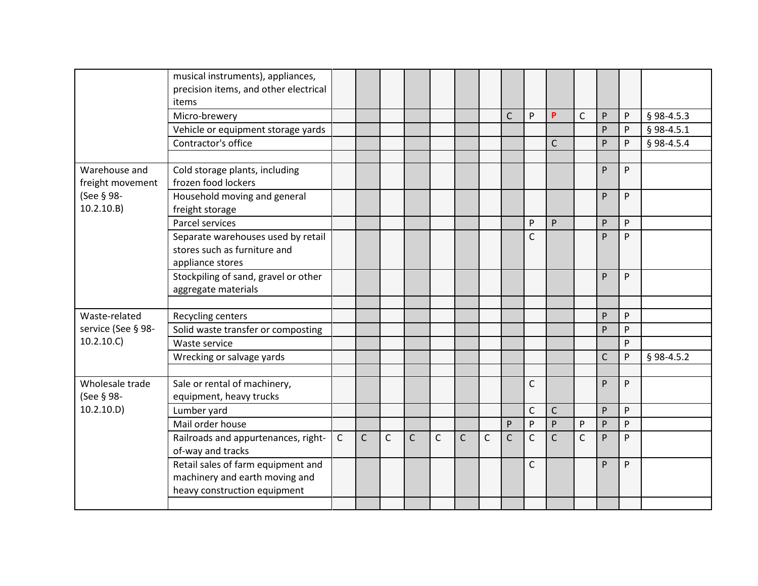|                                   | musical instruments), appliances,<br>precision items, and other electrical<br>items                  |              |              |              |              |              |              |              |              |              |                |              |              |   |              |
|-----------------------------------|------------------------------------------------------------------------------------------------------|--------------|--------------|--------------|--------------|--------------|--------------|--------------|--------------|--------------|----------------|--------------|--------------|---|--------------|
|                                   | Micro-brewery                                                                                        |              |              |              |              |              |              |              | $\mathsf{C}$ | P            | P              | $\mathsf{C}$ | P            | P | § 98-4.5.3   |
|                                   | Vehicle or equipment storage yards                                                                   |              |              |              |              |              |              |              |              |              |                |              | P            | P | $§$ 98-4.5.1 |
|                                   | Contractor's office                                                                                  |              |              |              |              |              |              |              |              |              | $\mathsf{C}$   |              | P            | P | § 98-4.5.4   |
|                                   |                                                                                                      |              |              |              |              |              |              |              |              |              |                |              |              |   |              |
| Warehouse and<br>freight movement | Cold storage plants, including<br>frozen food lockers                                                |              |              |              |              |              |              |              |              |              |                |              | P            | P |              |
| (See § 98-<br>10.2.10.B)          | Household moving and general<br>freight storage                                                      |              |              |              |              |              |              |              |              |              |                |              | P            | P |              |
|                                   | Parcel services                                                                                      |              |              |              |              |              |              |              |              | P            | P              |              | P            | P |              |
|                                   | Separate warehouses used by retail<br>stores such as furniture and<br>appliance stores               |              |              |              |              |              |              |              |              | $\mathsf{C}$ |                |              | P            | P |              |
|                                   | Stockpiling of sand, gravel or other<br>aggregate materials                                          |              |              |              |              |              |              |              |              |              |                |              | P            | P |              |
| Waste-related                     |                                                                                                      |              |              |              |              |              |              |              |              |              |                |              | ${\sf P}$    | P |              |
| service (See § 98-                | Recycling centers<br>Solid waste transfer or composting                                              |              |              |              |              |              |              |              |              |              |                |              | P            | P |              |
| 10.2.10.C)                        | Waste service                                                                                        |              |              |              |              |              |              |              |              |              |                |              |              | P |              |
|                                   | Wrecking or salvage yards                                                                            |              |              |              |              |              |              |              |              |              |                |              | $\mathsf{C}$ | P | $§$ 98-4.5.2 |
|                                   |                                                                                                      |              |              |              |              |              |              |              |              |              |                |              |              |   |              |
| Wholesale trade<br>(See § 98-     | Sale or rental of machinery,<br>equipment, heavy trucks                                              |              |              |              |              |              |              |              |              | $\mathsf{C}$ |                |              | P            | P |              |
| 10.2.10.D)                        | Lumber yard                                                                                          |              |              |              |              |              |              |              |              | $\mathsf{C}$ | $\mathsf{C}$   |              | P            | P |              |
|                                   | Mail order house                                                                                     |              |              |              |              |              |              |              | P            | P            | ${\sf P}$      | P            | P            | P |              |
|                                   | Railroads and appurtenances, right-<br>of-way and tracks                                             | $\mathsf{C}$ | $\mathsf{C}$ | $\mathsf{C}$ | $\mathsf{C}$ | $\mathsf{C}$ | $\mathsf{C}$ | $\mathsf{C}$ | $\mathsf{C}$ | C            | $\overline{C}$ | $\mathsf{C}$ | P.           | P |              |
|                                   | Retail sales of farm equipment and<br>machinery and earth moving and<br>heavy construction equipment |              |              |              |              |              |              |              |              | $\mathsf{C}$ |                |              | P            | P |              |
|                                   |                                                                                                      |              |              |              |              |              |              |              |              |              |                |              |              |   |              |